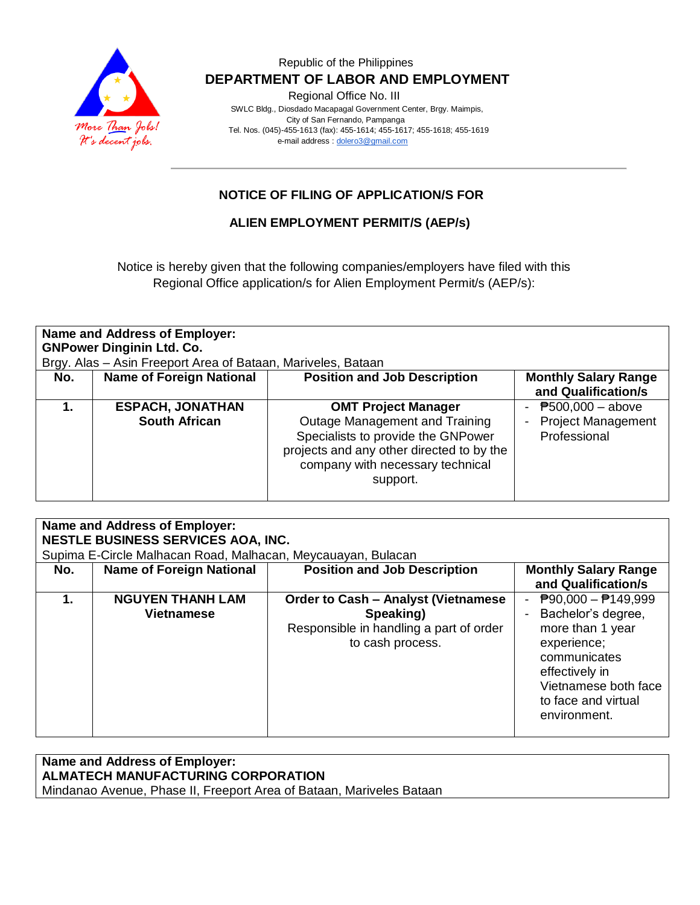

### Republic of the Philippines  **DEPARTMENT OF LABOR AND EMPLOYMENT**

Regional Office No. III

 SWLC Bldg., Diosdado Macapagal Government Center, Brgy. Maimpis, City of San Fernando, Pampanga Tel. Nos. (045)-455-1613 (fax): 455-1614; 455-1617; 455-1618; 455-1619 e-mail address [: dolero3@gmail.com](mailto:dolero3@gmail.com)

## **NOTICE OF FILING OF APPLICATION/S FOR**

### **ALIEN EMPLOYMENT PERMIT/S (AEP/s)**

Notice is hereby given that the following companies/employers have filed with this Regional Office application/s for Alien Employment Permit/s (AEP/s):

| <b>Name and Address of Employer:</b><br><b>GNPower Dinginin Ltd. Co.</b><br>Brgy. Alas - Asin Freeport Area of Bataan, Mariveles, Bataan |                                                 |                                                                                                                                                                                                 |                                                                                    |  |  |
|------------------------------------------------------------------------------------------------------------------------------------------|-------------------------------------------------|-------------------------------------------------------------------------------------------------------------------------------------------------------------------------------------------------|------------------------------------------------------------------------------------|--|--|
| No.                                                                                                                                      | <b>Name of Foreign National</b>                 | <b>Position and Job Description</b>                                                                                                                                                             | <b>Monthly Salary Range</b><br>and Qualification/s                                 |  |  |
| 1.                                                                                                                                       | <b>ESPACH, JONATHAN</b><br><b>South African</b> | <b>OMT Project Manager</b><br>Outage Management and Training<br>Specialists to provide the GNPower<br>projects and any other directed to by the<br>company with necessary technical<br>support. | $P$ 500,000 - above<br>$\blacksquare$<br><b>Project Management</b><br>Professional |  |  |

#### **Name and Address of Employer: NESTLE BUSINESS SERVICES AOA, INC.** Supima E-Circle Malhacan Road, Malhacan, Meycauayan, Bulacan **No.** | Name of Foreign National | Position and Job Description | Monthly Salary Range **and Qualification/s 1. NGUYEN THANH LAM Vietnamese Order to Cash – Analyst (Vietnamese Speaking)** Responsible in handling a part of order to cash process.  $- P90,000 - P149,999$ - Bachelor's degree, more than 1 year experience; communicates effectively in Vietnamese both face to face and virtual environment.

# **Name and Address of Employer: ALMATECH MANUFACTURING CORPORATION**

Mindanao Avenue, Phase II, Freeport Area of Bataan, Mariveles Bataan